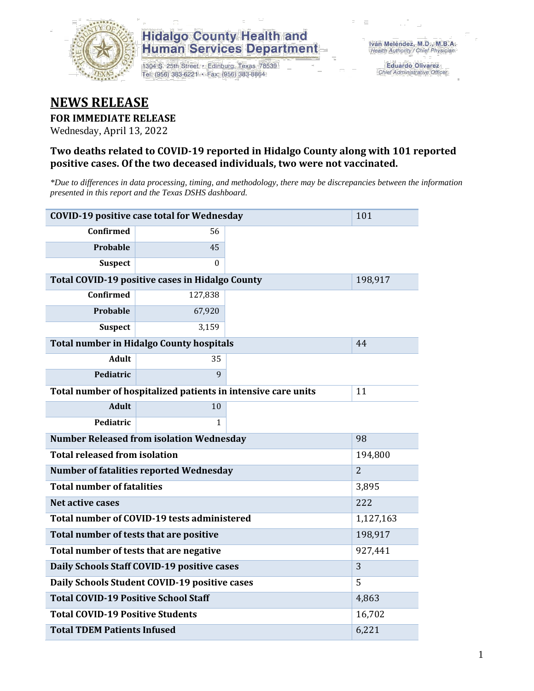

### **Hidalgo County Health and Human Services Department**

1304 S. 25th Street · Edinburg, Texas 78539 Tel: (956) 383-6221 · Fax: (956) 383-8864

**Eduardo Olivarez** Chief Administrative Officer

## **NEWS RELEASE**

#### **FOR IMMEDIATE RELEASE**

Wednesday, April 13, 2022

#### **Two deaths related to COVID-19 reported in Hidalgo County along with 101 reported positive cases. Of the two deceased individuals, two were not vaccinated.**

*\*Due to differences in data processing, timing, and methodology, there may be discrepancies between the information presented in this report and the Texas DSHS dashboard.*

| <b>COVID-19 positive case total for Wednesday</b>             | 101                                             |    |         |
|---------------------------------------------------------------|-------------------------------------------------|----|---------|
| <b>Confirmed</b>                                              | 56                                              |    |         |
| <b>Probable</b>                                               | 45                                              |    |         |
| <b>Suspect</b>                                                | $\Omega$                                        |    |         |
|                                                               | Total COVID-19 positive cases in Hidalgo County |    | 198,917 |
| <b>Confirmed</b>                                              | 127,838                                         |    |         |
| Probable                                                      | 67,920                                          |    |         |
| <b>Suspect</b>                                                | 3,159                                           |    |         |
| <b>Total number in Hidalgo County hospitals</b>               |                                                 | 44 |         |
| <b>Adult</b>                                                  | 35                                              |    |         |
| Pediatric                                                     | 9                                               |    |         |
| Total number of hospitalized patients in intensive care units | 11                                              |    |         |
| <b>Adult</b>                                                  | 10                                              |    |         |
| Pediatric                                                     | 1                                               |    |         |
| <b>Number Released from isolation Wednesday</b>               | 98                                              |    |         |
| <b>Total released from isolation</b>                          | 194,800                                         |    |         |
| <b>Number of fatalities reported Wednesday</b>                | $\overline{2}$                                  |    |         |
| <b>Total number of fatalities</b>                             | 3,895                                           |    |         |
| Net active cases                                              | 222                                             |    |         |
| Total number of COVID-19 tests administered                   | 1,127,163                                       |    |         |
| Total number of tests that are positive                       | 198,917                                         |    |         |
| Total number of tests that are negative                       | 927,441                                         |    |         |
| Daily Schools Staff COVID-19 positive cases                   | 3                                               |    |         |
| Daily Schools Student COVID-19 positive cases                 | 5                                               |    |         |
| <b>Total COVID-19 Positive School Staff</b>                   | 4,863                                           |    |         |
| <b>Total COVID-19 Positive Students</b>                       | 16,702                                          |    |         |
| <b>Total TDEM Patients Infused</b>                            | 6,221                                           |    |         |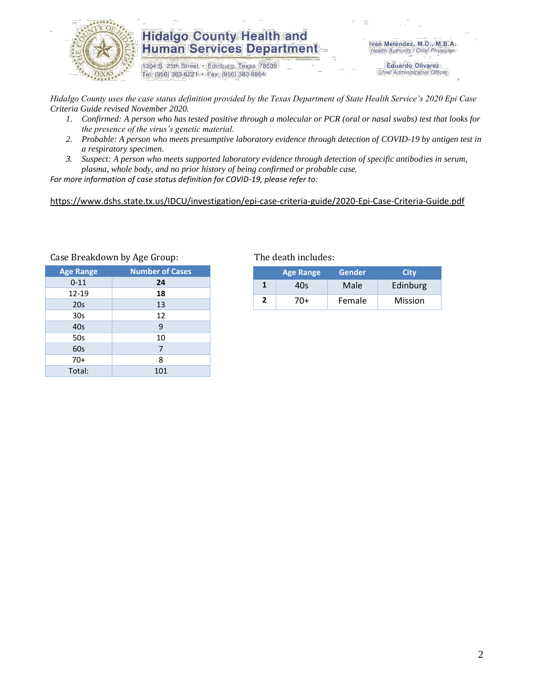

#### **Hidalgo County Health and Human Services Department**

1304 S. 25th Street · Edinburg, Texas 78539 Tel: (956) 383-6221 · Fax: (956) 383-8864

Iván Meléndez, M.D., M.B.A. Health Authority / Chief Physician

> **Eduardo Olivarez** Chief Administrative Officer

*Hidalgo County uses the case status definition provided by the Texas Department of State Health Service's 2020 Epi Case Criteria Guide revised November 2020.*

- *1. Confirmed: A person who has tested positive through a molecular or PCR (oral or nasal swabs) test that looks for the presence of the virus's genetic material.*
- *2. Probable: A person who meets presumptive laboratory evidence through detection of COVID-19 by antigen test in a respiratory specimen.*
- *3. Suspect: A person who meets supported laboratory evidence through detection of specific antibodies in serum, plasma, whole body, and no prior history of being confirmed or probable case.*

*For more information of case status definition for COVID-19, please refer to:*

<https://www.dshs.state.tx.us/IDCU/investigation/epi-case-criteria-guide/2020-Epi-Case-Criteria-Guide.pdf>

| <b>Age Range</b> | <b>Number of Cases</b> |
|------------------|------------------------|
| $0 - 11$         | 24                     |
| 12-19            | 18                     |
| 20s              | 13                     |
| 30 <sub>s</sub>  | 12                     |
| 40s              | 9                      |
| 50s              | 10                     |
| 60s              | 7                      |
| $70+$            | 8                      |
| Total:           | 101                    |

Case Breakdown by Age Group: The death includes:

|  | <b>Age Range</b> | <b>Gender</b> | City           |
|--|------------------|---------------|----------------|
|  | 40s              | Male          | Edinburg       |
|  | 70+              | Female        | <b>Mission</b> |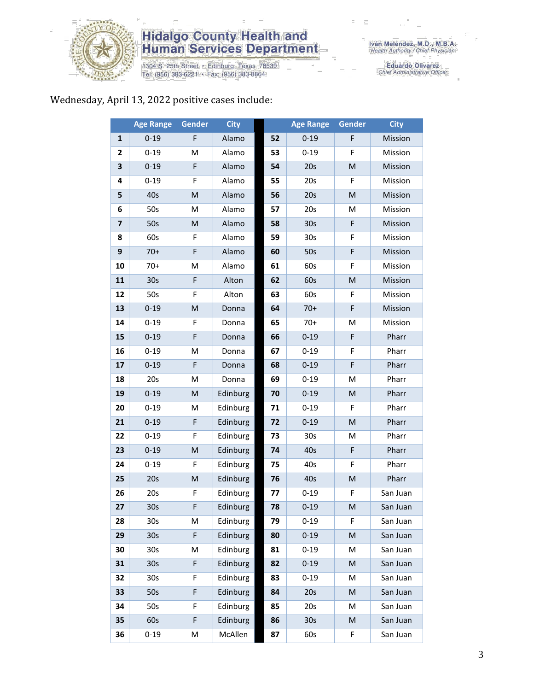

# **Hidalgo County Health and<br>Human Services Department**

1304 S. 25th Street • Edinburg, Texas 78539<br>Tel: (956) 383-6221 • Fax: (956) 383-8864

Eduardo Olivarez<br>Chief Administrative Officer

### Wednesday, April 13, 2022 positive cases include:

|                         | <b>Age Range</b> | <b>Gender</b>                                                                                              | <b>City</b> |    | <b>Age Range</b> | <b>Gender</b> | <b>City</b> |
|-------------------------|------------------|------------------------------------------------------------------------------------------------------------|-------------|----|------------------|---------------|-------------|
| $\mathbf{1}$            | $0 - 19$         | F                                                                                                          | Alamo       | 52 | $0 - 19$         | F             | Mission     |
| 2                       | $0 - 19$         | M                                                                                                          | Alamo       | 53 | $0 - 19$         | F             | Mission     |
| 3                       | $0 - 19$         | F                                                                                                          | Alamo       | 54 | 20s              | ${\sf M}$     | Mission     |
| 4                       | $0 - 19$         | F                                                                                                          | Alamo       | 55 | 20s              | F             | Mission     |
| 5                       | 40s              | $\mathsf{M}% _{T}=\mathsf{M}_{T}\!\left( a,b\right) ,\ \mathsf{M}_{T}=\mathsf{M}_{T}\!\left( a,b\right) ,$ | Alamo       | 56 | 20s              | ${\sf M}$     | Mission     |
| 6                       | 50s              | M                                                                                                          | Alamo       | 57 | 20s              | M             | Mission     |
| $\overline{\mathbf{z}}$ | 50s              | $\mathsf{M}% _{T}=\mathsf{M}_{T}\!\left( a,b\right) ,\ \mathsf{M}_{T}=\mathsf{M}_{T}\!\left( a,b\right) ,$ | Alamo       | 58 | 30s              | $\mathsf F$   | Mission     |
| 8                       | 60s              | F                                                                                                          | Alamo       | 59 | 30s              | F             | Mission     |
| 9                       | $70+$            | F                                                                                                          | Alamo       | 60 | 50s              | $\mathsf F$   | Mission     |
| 10                      | $70+$            | M                                                                                                          | Alamo       | 61 | 60s              | F             | Mission     |
| 11                      | 30 <sub>s</sub>  | F                                                                                                          | Alton       | 62 | 60s              | ${\sf M}$     | Mission     |
| 12                      | 50s              | F                                                                                                          | Alton       | 63 | 60s              | F             | Mission     |
| 13                      | $0 - 19$         | $\mathsf{M}% _{T}=\mathsf{M}_{T}\!\left( a,b\right) ,\ \mathsf{M}_{T}=\mathsf{M}_{T}\!\left( a,b\right) ,$ | Donna       | 64 | $70+$            | $\mathsf F$   | Mission     |
| 14                      | $0 - 19$         | F                                                                                                          | Donna       | 65 | $70+$            | M             | Mission     |
| 15                      | $0 - 19$         | F                                                                                                          | Donna       | 66 | $0 - 19$         | $\mathsf F$   | Pharr       |
| 16                      | $0 - 19$         | M                                                                                                          | Donna       | 67 | $0 - 19$         | F             | Pharr       |
| 17                      | $0 - 19$         | F                                                                                                          | Donna       | 68 | $0 - 19$         | $\mathsf F$   | Pharr       |
| 18                      | 20s              | M                                                                                                          | Donna       | 69 | $0 - 19$         | M             | Pharr       |
| 19                      | $0 - 19$         | M                                                                                                          | Edinburg    | 70 | $0 - 19$         | M             | Pharr       |
| 20                      | $0 - 19$         | M                                                                                                          | Edinburg    | 71 | $0 - 19$         | F             | Pharr       |
| 21                      | $0 - 19$         | F                                                                                                          | Edinburg    | 72 | $0 - 19$         | M             | Pharr       |
| 22                      | $0 - 19$         | F                                                                                                          | Edinburg    | 73 | 30s              | M             | Pharr       |
| 23                      | $0 - 19$         | $\mathsf{M}% _{T}=\mathsf{M}_{T}\!\left( a,b\right) ,\ \mathsf{M}_{T}=\mathsf{M}_{T}\!\left( a,b\right) ,$ | Edinburg    | 74 | 40s              | F             | Pharr       |
| 24                      | $0 - 19$         | F                                                                                                          | Edinburg    | 75 | 40s              | F             | Pharr       |
| 25                      | 20s              | ${\sf M}$                                                                                                  | Edinburg    | 76 | 40s              | ${\sf M}$     | Pharr       |
| 26                      | 20s              | F                                                                                                          | Edinburg    | 77 | $0 - 19$         | F             | San Juan    |
| 27                      | 30 <sub>s</sub>  | F                                                                                                          | Edinburg    | 78 | $0 - 19$         | M             | San Juan    |
| 28                      | 30s              | M                                                                                                          | Edinburg    | 79 | $0 - 19$         | F.            | San Juan    |
| 29                      | 30 <sub>s</sub>  | F                                                                                                          | Edinburg    | 80 | $0 - 19$         | M             | San Juan    |
| 30                      | 30s              | M                                                                                                          | Edinburg    | 81 | $0 - 19$         | M             | San Juan    |
| 31                      | 30 <sub>s</sub>  | F                                                                                                          | Edinburg    | 82 | $0 - 19$         | M             | San Juan    |
| 32                      | 30 <sub>s</sub>  | F                                                                                                          | Edinburg    | 83 | $0 - 19$         | M             | San Juan    |
| 33                      | 50s              | F                                                                                                          | Edinburg    | 84 | 20s              | M             | San Juan    |
| 34                      | 50s              | F                                                                                                          | Edinburg    | 85 | 20s              | M             | San Juan    |
| 35                      | 60s              | F                                                                                                          | Edinburg    | 86 | 30 <sub>s</sub>  | M             | San Juan    |
| 36                      | $0 - 19$         | M                                                                                                          | McAllen     | 87 | 60s              | F             | San Juan    |